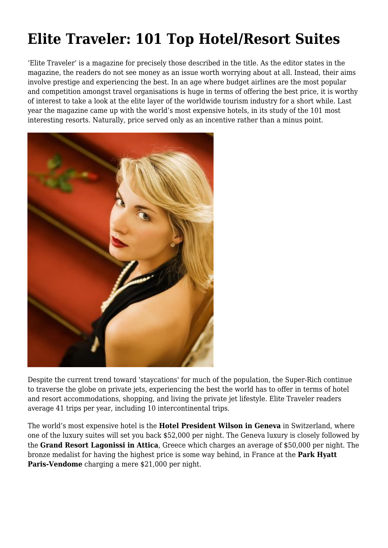## **Elite Traveler: 101 Top Hotel/Resort Suites**

'Elite Traveler' is a magazine for precisely those described in the title. As the editor states in the magazine, the readers do not see money as an issue worth worrying about at all. Instead, their aims involve prestige and experiencing the best. In an age where budget airlines are the most popular and competition amongst travel organisations is huge in terms of offering the best price, it is worthy of interest to take a look at the elite layer of the worldwide tourism industry for a short while. Last year the magazine came up with the world's most expensive hotels, in its study of the 101 most interesting resorts. Naturally, price served only as an incentive rather than a minus point.



Despite the current trend toward 'staycations' for much of the population, the Super-Rich continue to traverse the globe on private jets, experiencing the best the world has to offer in terms of hotel and resort accommodations, shopping, and living the private jet lifestyle. Elite Traveler readers average 41 trips per year, including 10 intercontinental trips.

The world's most expensive hotel is the **Hotel President Wilson in Geneva** in Switzerland, where one of the luxury suites will set you back \$52,000 per night. The Geneva luxury is closely followed by the **Grand Resort Lagonissi in Attica**, Greece which charges an average of \$50,000 per night. The bronze medalist for having the highest price is some way behind, in France at the **Park Hyatt Paris-Vendome** charging a mere \$21,000 per night.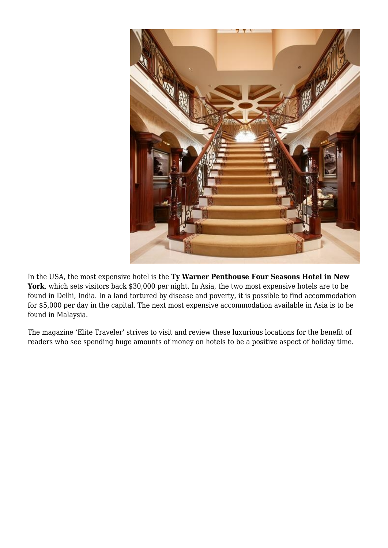

In the USA, the most expensive hotel is the **Ty Warner Penthouse Four Seasons Hotel in New York**, which sets visitors back \$30,000 per night. In Asia, the two most expensive hotels are to be found in Delhi, India. In a land tortured by disease and poverty, it is possible to find accommodation for \$5,000 per day in the capital. The next most expensive accommodation available in Asia is to be found in Malaysia.

The magazine 'Elite Traveler' strives to visit and review these luxurious locations for the benefit of readers who see spending huge amounts of money on hotels to be a positive aspect of holiday time.